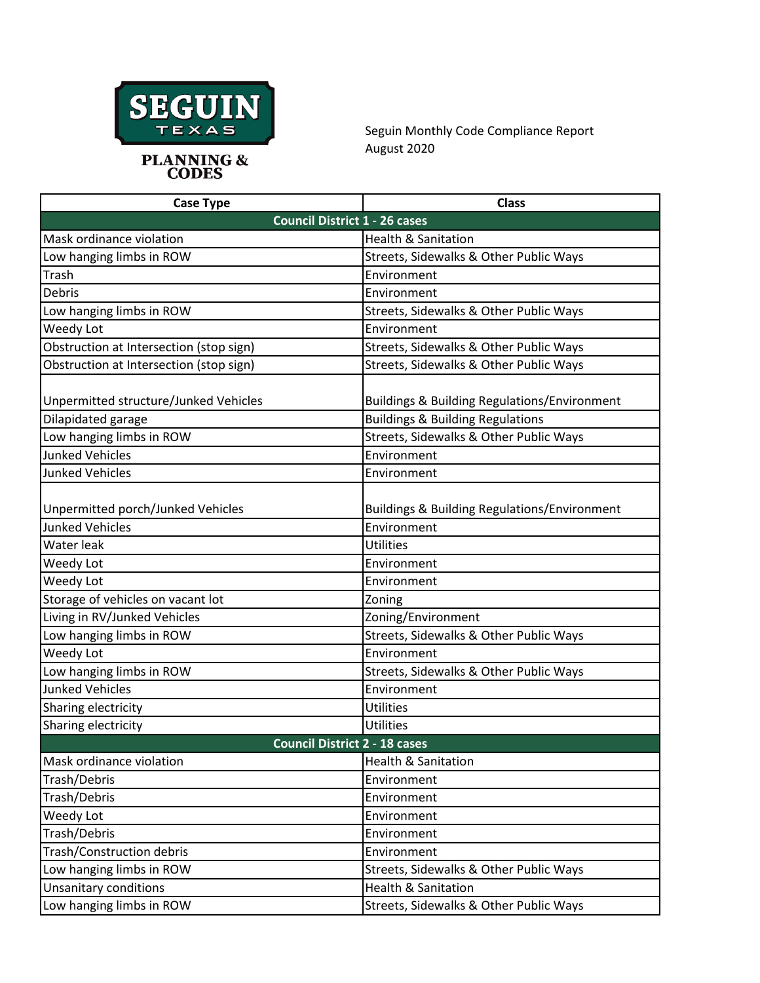

Seguin Monthly Code Compliance Report August 2020

| <b>Case Type</b>                                            | <b>Class</b>                                                           |  |
|-------------------------------------------------------------|------------------------------------------------------------------------|--|
| <b>Council District 1 - 26 cases</b>                        |                                                                        |  |
| Mask ordinance violation                                    | <b>Health &amp; Sanitation</b>                                         |  |
| Low hanging limbs in ROW                                    | Streets, Sidewalks & Other Public Ways                                 |  |
| Trash                                                       | Environment                                                            |  |
| Debris                                                      | Environment                                                            |  |
| Low hanging limbs in ROW                                    | Streets, Sidewalks & Other Public Ways                                 |  |
| Weedy Lot                                                   | Environment                                                            |  |
| Obstruction at Intersection (stop sign)                     | Streets, Sidewalks & Other Public Ways                                 |  |
| Obstruction at Intersection (stop sign)                     | Streets, Sidewalks & Other Public Ways                                 |  |
| Unpermitted structure/Junked Vehicles                       | <b>Buildings &amp; Building Regulations/Environment</b>                |  |
| Dilapidated garage                                          | <b>Buildings &amp; Building Regulations</b>                            |  |
| Low hanging limbs in ROW                                    | Streets, Sidewalks & Other Public Ways                                 |  |
| <b>Junked Vehicles</b>                                      | Environment                                                            |  |
| <b>Junked Vehicles</b>                                      | Environment                                                            |  |
| Unpermitted porch/Junked Vehicles<br><b>Junked Vehicles</b> | <b>Buildings &amp; Building Regulations/Environment</b><br>Environment |  |
| Water leak                                                  | <b>Utilities</b>                                                       |  |
| Weedy Lot                                                   | Environment                                                            |  |
| Weedy Lot                                                   | Environment                                                            |  |
| Storage of vehicles on vacant lot                           | Zoning                                                                 |  |
| Living in RV/Junked Vehicles                                | Zoning/Environment                                                     |  |
| Low hanging limbs in ROW                                    | Streets, Sidewalks & Other Public Ways                                 |  |
| Weedy Lot                                                   | Environment                                                            |  |
| Low hanging limbs in ROW                                    | Streets, Sidewalks & Other Public Ways                                 |  |
| <b>Junked Vehicles</b>                                      | Environment                                                            |  |
| Sharing electricity                                         | <b>Utilities</b>                                                       |  |
| Sharing electricity                                         | <b>Utilities</b>                                                       |  |
| <b>Council District 2 - 18 cases</b>                        |                                                                        |  |
| Mask ordinance violation                                    | <b>Health &amp; Sanitation</b>                                         |  |
| Trash/Debris                                                | Environment                                                            |  |
| Trash/Debris                                                | Environment                                                            |  |
| Weedy Lot                                                   | Environment                                                            |  |
| Trash/Debris                                                | Environment                                                            |  |
| Trash/Construction debris                                   | Environment                                                            |  |
| Low hanging limbs in ROW                                    | Streets, Sidewalks & Other Public Ways                                 |  |
| <b>Unsanitary conditions</b>                                | <b>Health &amp; Sanitation</b>                                         |  |
| Low hanging limbs in ROW                                    | Streets, Sidewalks & Other Public Ways                                 |  |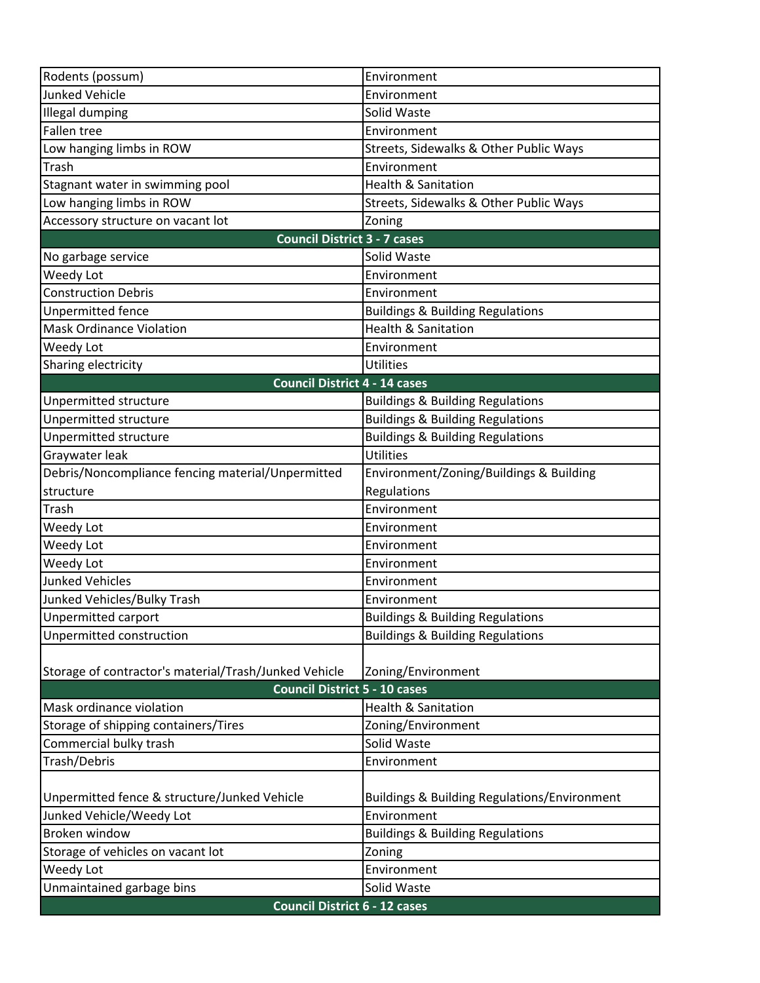| Rodents (possum)                                      | Environment                                             |  |
|-------------------------------------------------------|---------------------------------------------------------|--|
| <b>Junked Vehicle</b>                                 | Environment                                             |  |
| <b>Illegal dumping</b>                                | Solid Waste                                             |  |
| <b>Fallen tree</b>                                    | Environment                                             |  |
| Low hanging limbs in ROW                              | Streets, Sidewalks & Other Public Ways                  |  |
| Trash                                                 | Environment                                             |  |
| Stagnant water in swimming pool                       | <b>Health &amp; Sanitation</b>                          |  |
| Low hanging limbs in ROW                              | Streets, Sidewalks & Other Public Ways                  |  |
| Accessory structure on vacant lot                     | Zoning                                                  |  |
| <b>Council District 3 - 7 cases</b>                   |                                                         |  |
| No garbage service                                    | Solid Waste                                             |  |
| Weedy Lot                                             | Environment                                             |  |
| <b>Construction Debris</b>                            | Environment                                             |  |
| Unpermitted fence                                     | <b>Buildings &amp; Building Regulations</b>             |  |
| <b>Mask Ordinance Violation</b>                       | <b>Health &amp; Sanitation</b>                          |  |
| Weedy Lot                                             | Environment                                             |  |
| Sharing electricity                                   | <b>Utilities</b>                                        |  |
| <b>Council District 4 - 14 cases</b>                  |                                                         |  |
| Unpermitted structure                                 | <b>Buildings &amp; Building Regulations</b>             |  |
| Unpermitted structure                                 | <b>Buildings &amp; Building Regulations</b>             |  |
| Unpermitted structure                                 | <b>Buildings &amp; Building Regulations</b>             |  |
| Graywater leak                                        | <b>Utilities</b>                                        |  |
| Debris/Noncompliance fencing material/Unpermitted     | Environment/Zoning/Buildings & Building                 |  |
| structure                                             | Regulations                                             |  |
| Trash                                                 | Environment                                             |  |
| Weedy Lot                                             | Environment                                             |  |
| Weedy Lot                                             | Environment                                             |  |
| Weedy Lot                                             | Environment                                             |  |
| <b>Junked Vehicles</b>                                | Environment                                             |  |
| Junked Vehicles/Bulky Trash                           | Environment                                             |  |
| <b>Unpermitted carport</b>                            | <b>Buildings &amp; Building Regulations</b>             |  |
| Unpermitted construction                              | <b>Buildings &amp; Building Regulations</b>             |  |
|                                                       |                                                         |  |
| Storage of contractor's material/Trash/Junked Vehicle | Zoning/Environment                                      |  |
| <b>Council District 5 - 10 cases</b>                  |                                                         |  |
| Mask ordinance violation                              | <b>Health &amp; Sanitation</b>                          |  |
| Storage of shipping containers/Tires                  | Zoning/Environment                                      |  |
| Commercial bulky trash                                | Solid Waste                                             |  |
| Trash/Debris                                          | Environment                                             |  |
|                                                       |                                                         |  |
| Unpermitted fence & structure/Junked Vehicle          | <b>Buildings &amp; Building Regulations/Environment</b> |  |
| Junked Vehicle/Weedy Lot                              | Environment                                             |  |
| Broken window                                         | <b>Buildings &amp; Building Regulations</b>             |  |
| Storage of vehicles on vacant lot                     | Zoning                                                  |  |
| Weedy Lot                                             | Environment                                             |  |
| Unmaintained garbage bins                             | Solid Waste                                             |  |
| <b>Council District 6 - 12 cases</b>                  |                                                         |  |